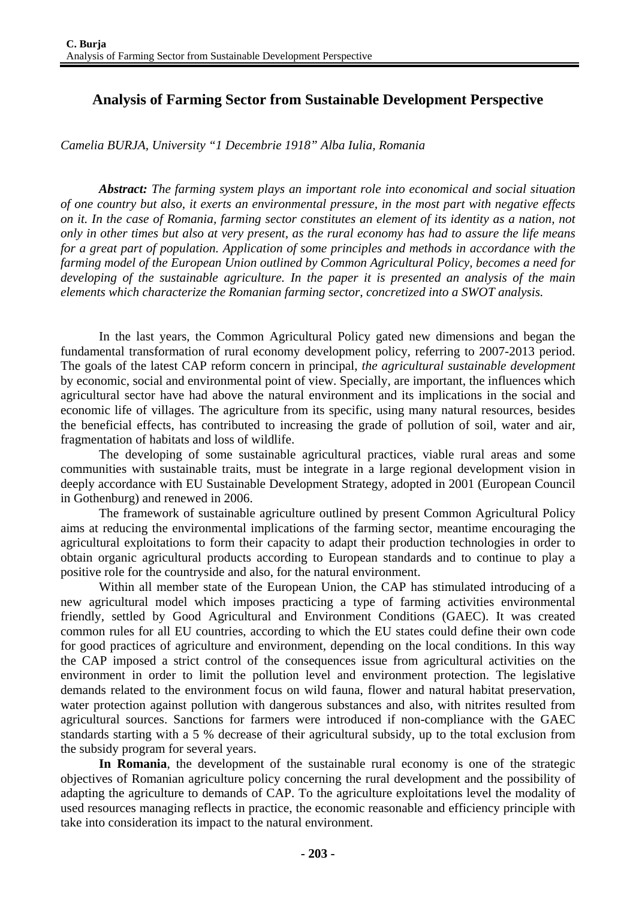## **Analysis of Farming Sector from Sustainable Development Perspective**

*Camelia BURJA, University "1 Decembrie 1918" Alba Iulia, Romania* 

*Abstract: The farming system plays an important role into economical and social situation of one country but also, it exerts an environmental pressure, in the most part with negative effects on it. In the case of Romania, farming sector constitutes an element of its identity as a nation, not only in other times but also at very present, as the rural economy has had to assure the life means for a great part of population. Application of some principles and methods in accordance with the farming model of the European Union outlined by Common Agricultural Policy, becomes a need for developing of the sustainable agriculture. In the paper it is presented an analysis of the main elements which characterize the Romanian farming sector, concretized into a SWOT analysis.* 

In the last years, the Common Agricultural Policy gated new dimensions and began the fundamental transformation of rural economy development policy, referring to 2007-2013 period. The goals of the latest CAP reform concern in principal, *the agricultural sustainable development* by economic, social and environmental point of view. Specially, are important, the influences which agricultural sector have had above the natural environment and its implications in the social and economic life of villages. The agriculture from its specific, using many natural resources, besides the beneficial effects, has contributed to increasing the grade of pollution of soil, water and air, fragmentation of habitats and loss of wildlife.

The developing of some sustainable agricultural practices, viable rural areas and some communities with sustainable traits, must be integrate in a large regional development vision in deeply accordance with EU Sustainable Development Strategy, adopted in 2001 (European Council in Gothenburg) and renewed in 2006.

The framework of sustainable agriculture outlined by present Common Agricultural Policy aims at reducing the environmental implications of the farming sector, meantime encouraging the agricultural exploitations to form their capacity to adapt their production technologies in order to obtain organic agricultural products according to European standards and to continue to play a positive role for the countryside and also, for the natural environment.

Within all member state of the European Union, the CAP has stimulated introducing of a new agricultural model which imposes practicing a type of farming activities environmental friendly, settled by Good Agricultural and Environment Conditions (GAEC). It was created common rules for all EU countries, according to which the EU states could define their own code for good practices of agriculture and environment, depending on the local conditions. In this way the CAP imposed a strict control of the consequences issue from agricultural activities on the environment in order to limit the pollution level and environment protection. The legislative demands related to the environment focus on wild fauna, flower and natural habitat preservation, water protection against pollution with dangerous substances and also, with nitrites resulted from agricultural sources. Sanctions for farmers were introduced if non-compliance with the GAEC standards starting with a 5 % decrease of their agricultural subsidy, up to the total exclusion from the subsidy program for several years.

**In Romania**, the development of the sustainable rural economy is one of the strategic objectives of Romanian agriculture policy concerning the rural development and the possibility of adapting the agriculture to demands of CAP. To the agriculture exploitations level the modality of used resources managing reflects in practice, the economic reasonable and efficiency principle with take into consideration its impact to the natural environment.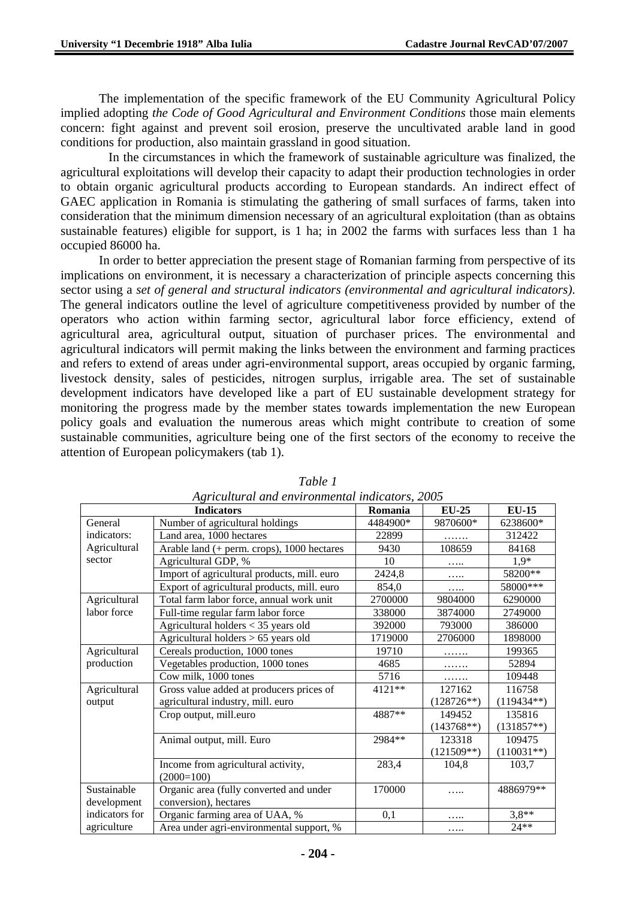The implementation of the specific framework of the EU Community Agricultural Policy implied adopting *the Code of Good Agricultural and Environment Conditions* those main elements concern: fight against and prevent soil erosion, preserve the uncultivated arable land in good conditions for production, also maintain grassland in good situation.

 In the circumstances in which the framework of sustainable agriculture was finalized, the agricultural exploitations will develop their capacity to adapt their production technologies in order to obtain organic agricultural products according to European standards. An indirect effect of GAEC application in Romania is stimulating the gathering of small surfaces of farms, taken into consideration that the minimum dimension necessary of an agricultural exploitation (than as obtains sustainable features) eligible for support, is 1 ha; in 2002 the farms with surfaces less than 1 ha occupied 86000 ha.

In order to better appreciation the present stage of Romanian farming from perspective of its implications on environment, it is necessary a characterization of principle aspects concerning this sector using a *set of general and structural indicators (environmental and agricultural indicators)*. The general indicators outline the level of agriculture competitiveness provided by number of the operators who action within farming sector, agricultural labor force efficiency, extend of agricultural area, agricultural output, situation of purchaser prices. The environmental and agricultural indicators will permit making the links between the environment and farming practices and refers to extend of areas under agri-environmental support, areas occupied by organic farming, livestock density, sales of pesticides, nitrogen surplus, irrigable area. The set of sustainable development indicators have developed like a part of EU sustainable development strategy for monitoring the progress made by the member states towards implementation the new European policy goals and evaluation the numerous areas which might contribute to creation of some sustainable communities, agriculture being one of the first sectors of the economy to receive the attention of European policymakers (tab 1).

| <b>Indicators</b> |                                             | Romania  | <b>EU-25</b> | <b>EU-15</b> |
|-------------------|---------------------------------------------|----------|--------------|--------------|
| General           | Number of agricultural holdings             | 4484900* | 9870600*     | 6238600*     |
| indicators:       | Land area, 1000 hectares                    | 22899    |              | 312422       |
| Agricultural      | Arable land (+ perm. crops), 1000 hectares  | 9430     | 108659       | 84168        |
| sector            | Agricultural GDP, %                         | 10       |              | $1.9*$       |
|                   | Import of agricultural products, mill. euro | 2424,8   | .            | 58200**      |
|                   | Export of agricultural products, mill. euro | 854,0    | .            | 58000***     |
| Agricultural      | Total farm labor force, annual work unit    | 2700000  | 9804000      | 6290000      |
| labor force       | Full-time regular farm labor force          | 338000   | 3874000      | 2749000      |
|                   | Agricultural holders < 35 years old         | 392000   | 793000       | 386000       |
|                   | Agricultural holders > 65 years old         | 1719000  | 2706000      | 1898000      |
| Agricultural      | Cereals production, 1000 tones              | 19710    |              | 199365       |
| production        | Vegetables production, 1000 tones           | 4685     | .            | 52894        |
|                   | Cow milk, 1000 tones                        | 5716     | .            | 109448       |
| Agricultural      | Gross value added at producers prices of    | 4121**   | 127162       | 116758       |
| output            | agricultural industry, mill. euro           |          | $(128726**)$ | $(119434**)$ |
|                   | Crop output, mill.euro                      | 4887**   | 149452       | 135816       |
|                   |                                             |          | $(143768**)$ | $(131857**)$ |
|                   | Animal output, mill. Euro                   | 2984**   | 123318       | 109475       |
|                   |                                             |          | $(121509**)$ | $(110031**)$ |
|                   | Income from agricultural activity,          | 283,4    | 104,8        | 103,7        |
|                   | $(2000=100)$                                |          |              |              |
| Sustainable       | Organic area (fully converted and under     | 170000   | .            | 4886979**    |
| development       | conversion), hectares                       |          |              |              |
| indicators for    | Organic farming area of UAA, %              | 0,1      | .            | $3.8**$      |
| agriculture       | Area under agri-environmental support, %    |          | .            | $24**$       |

*Table 1 Agricultural and environmental indicators, 2005*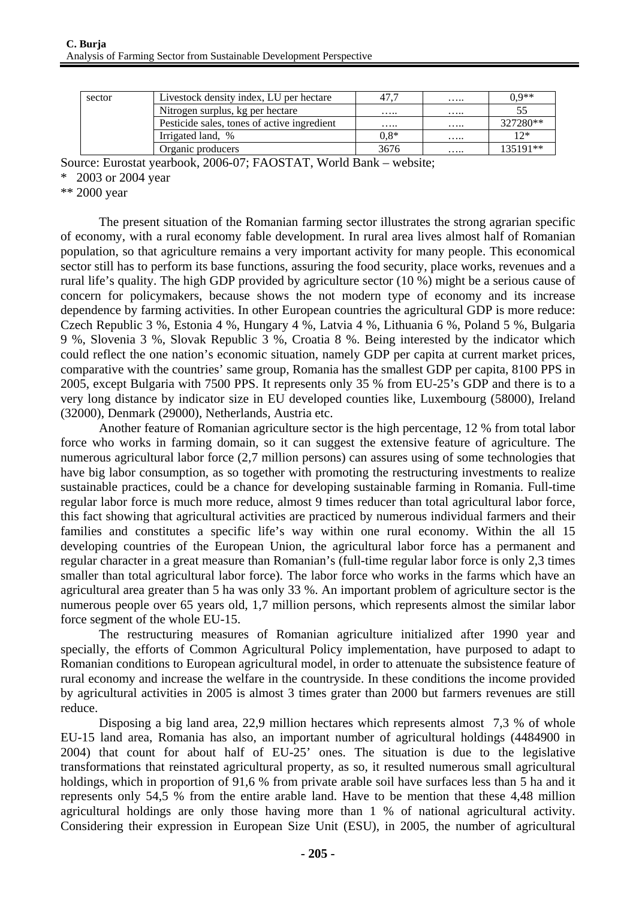| sector | Livestock density index, LU per hectare     | 47.    | . | $0.9**$  |
|--------|---------------------------------------------|--------|---|----------|
|        | Nitrogen surplus, kg per hectare            | .      | . |          |
|        | Pesticide sales, tones of active ingredient | .      | . | 327280** |
|        | Irrigated land, %                           | $0.8*$ | . | $12*$    |
|        | Organic producers                           | 3676   | . | 135191** |

Source: Eurostat yearbook, 2006-07; FAOSTAT, World Bank – website;

\* 2003 or 2004 year

\*\* 2000 year

The present situation of the Romanian farming sector illustrates the strong agrarian specific of economy, with a rural economy fable development. In rural area lives almost half of Romanian population, so that agriculture remains a very important activity for many people. This economical sector still has to perform its base functions, assuring the food security, place works, revenues and a rural life's quality. The high GDP provided by agriculture sector (10 %) might be a serious cause of concern for policymakers, because shows the not modern type of economy and its increase dependence by farming activities. In other European countries the agricultural GDP is more reduce: Czech Republic 3 %, Estonia 4 %, Hungary 4 %, Latvia 4 %, Lithuania 6 %, Poland 5 %, Bulgaria 9 %, Slovenia 3 %, Slovak Republic 3 %, Croatia 8 %. Being interested by the indicator which could reflect the one nation's economic situation, namely GDP per capita at current market prices, comparative with the countries' same group, Romania has the smallest GDP per capita, 8100 PPS in 2005, except Bulgaria with 7500 PPS. It represents only 35 % from EU-25's GDP and there is to a very long distance by indicator size in EU developed counties like, Luxembourg (58000), Ireland (32000), Denmark (29000), Netherlands, Austria etc.

Another feature of Romanian agriculture sector is the high percentage, 12 % from total labor force who works in farming domain, so it can suggest the extensive feature of agriculture. The numerous agricultural labor force  $(2,7$  million persons) can assures using of some technologies that have big labor consumption, as so together with promoting the restructuring investments to realize sustainable practices, could be a chance for developing sustainable farming in Romania. Full-time regular labor force is much more reduce, almost 9 times reducer than total agricultural labor force, this fact showing that agricultural activities are practiced by numerous individual farmers and their families and constitutes a specific life's way within one rural economy. Within the all 15 developing countries of the European Union, the agricultural labor force has a permanent and regular character in a great measure than Romanian's (full-time regular labor force is only 2,3 times smaller than total agricultural labor force). The labor force who works in the farms which have an agricultural area greater than 5 ha was only 33 %. An important problem of agriculture sector is the numerous people over 65 years old, 1,7 million persons, which represents almost the similar labor force segment of the whole EU-15.

The restructuring measures of Romanian agriculture initialized after 1990 year and specially, the efforts of Common Agricultural Policy implementation, have purposed to adapt to Romanian conditions to European agricultural model, in order to attenuate the subsistence feature of rural economy and increase the welfare in the countryside. In these conditions the income provided by agricultural activities in 2005 is almost 3 times grater than 2000 but farmers revenues are still reduce.

Disposing a big land area, 22,9 million hectares which represents almost 7,3 % of whole EU-15 land area, Romania has also, an important number of agricultural holdings (4484900 in 2004) that count for about half of EU-25' ones. The situation is due to the legislative transformations that reinstated agricultural property, as so, it resulted numerous small agricultural holdings, which in proportion of 91.6 % from private arable soil have surfaces less than 5 ha and it represents only 54,5 % from the entire arable land. Have to be mention that these 4,48 million agricultural holdings are only those having more than 1 % of national agricultural activity. Considering their expression in European Size Unit (ESU), in 2005, the number of agricultural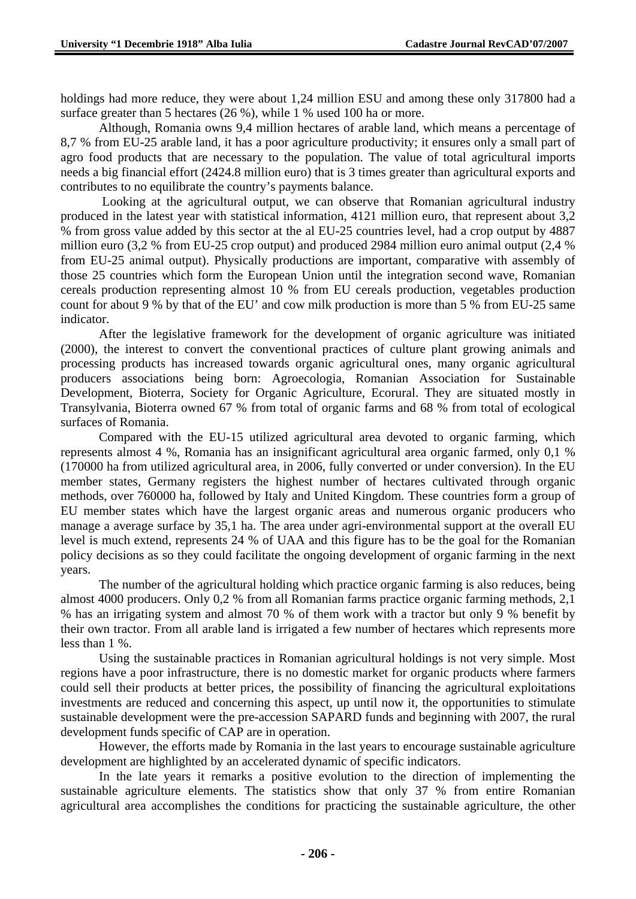holdings had more reduce, they were about 1,24 million ESU and among these only 317800 had a surface greater than 5 hectares (26 %), while 1 % used 100 ha or more.

Although, Romania owns 9,4 million hectares of arable land, which means a percentage of 8,7 % from EU-25 arable land, it has a poor agriculture productivity; it ensures only a small part of agro food products that are necessary to the population. The value of total agricultural imports needs a big financial effort (2424.8 million euro) that is 3 times greater than agricultural exports and contributes to no equilibrate the country's payments balance.

 Looking at the agricultural output, we can observe that Romanian agricultural industry produced in the latest year with statistical information, 4121 million euro, that represent about 3,2 % from gross value added by this sector at the al EU-25 countries level, had a crop output by 4887 million euro (3,2 % from EU-25 crop output) and produced 2984 million euro animal output (2,4 % from EU-25 animal output). Physically productions are important, comparative with assembly of those 25 countries which form the European Union until the integration second wave, Romanian cereals production representing almost 10 % from EU cereals production, vegetables production count for about 9 % by that of the EU' and cow milk production is more than 5 % from EU-25 same indicator.

After the legislative framework for the development of organic agriculture was initiated (2000), the interest to convert the conventional practices of culture plant growing animals and processing products has increased towards organic agricultural ones, many organic agricultural producers associations being born: Agroecologia, Romanian Association for Sustainable Development, Bioterra, Society for Organic Agriculture, Ecorural. They are situated mostly in Transylvania, Bioterra owned 67 % from total of organic farms and 68 % from total of ecological surfaces of Romania.

Compared with the EU-15 utilized agricultural area devoted to organic farming, which represents almost 4 %, Romania has an insignificant agricultural area organic farmed, only 0,1 % (170000 ha from utilized agricultural area, in 2006, fully converted or under conversion). In the EU member states, Germany registers the highest number of hectares cultivated through organic methods, over 760000 ha, followed by Italy and United Kingdom. These countries form a group of EU member states which have the largest organic areas and numerous organic producers who manage a average surface by 35,1 ha. The area under agri-environmental support at the overall EU level is much extend, represents 24 % of UAA and this figure has to be the goal for the Romanian policy decisions as so they could facilitate the ongoing development of organic farming in the next years.

The number of the agricultural holding which practice organic farming is also reduces, being almost 4000 producers. Only 0,2 % from all Romanian farms practice organic farming methods, 2,1 % has an irrigating system and almost 70 % of them work with a tractor but only 9 % benefit by their own tractor. From all arable land is irrigated a few number of hectares which represents more less than 1 %.

 Using the sustainable practices in Romanian agricultural holdings is not very simple. Most regions have a poor infrastructure, there is no domestic market for organic products where farmers could sell their products at better prices, the possibility of financing the agricultural exploitations investments are reduced and concerning this aspect, up until now it, the opportunities to stimulate sustainable development were the pre-accession SAPARD funds and beginning with 2007, the rural development funds specific of CAP are in operation.

 However, the efforts made by Romania in the last years to encourage sustainable agriculture development are highlighted by an accelerated dynamic of specific indicators.

In the late years it remarks a positive evolution to the direction of implementing the sustainable agriculture elements. The statistics show that only 37 % from entire Romanian agricultural area accomplishes the conditions for practicing the sustainable agriculture, the other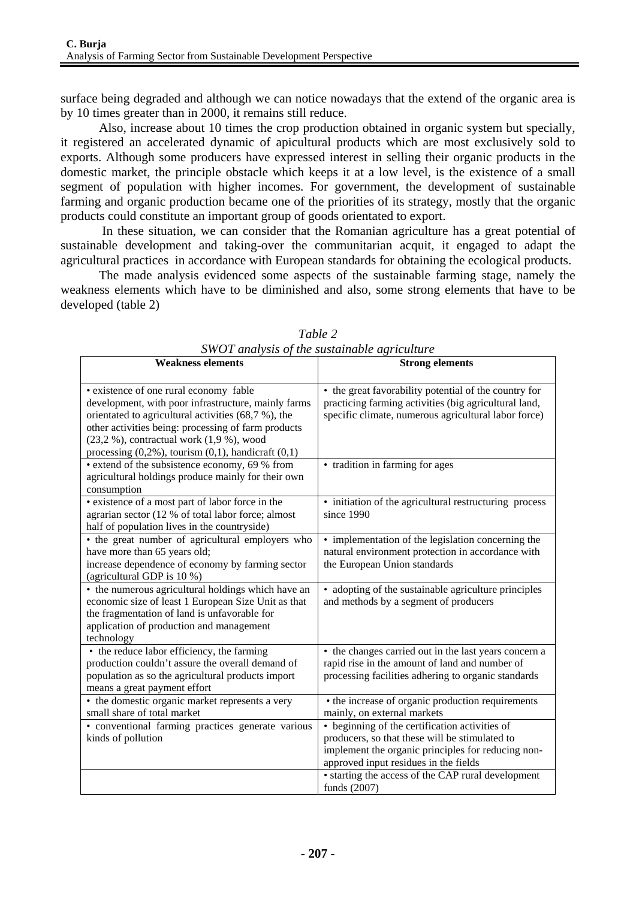surface being degraded and although we can notice nowadays that the extend of the organic area is by 10 times greater than in 2000, it remains still reduce.

Also, increase about 10 times the crop production obtained in organic system but specially, it registered an accelerated dynamic of apicultural products which are most exclusively sold to exports. Although some producers have expressed interest in selling their organic products in the domestic market, the principle obstacle which keeps it at a low level, is the existence of a small segment of population with higher incomes. For government, the development of sustainable farming and organic production became one of the priorities of its strategy, mostly that the organic products could constitute an important group of goods orientated to export.

 In these situation, we can consider that the Romanian agriculture has a great potential of sustainable development and taking-over the communitarian acquit, it engaged to adapt the agricultural practices in accordance with European standards for obtaining the ecological products.

The made analysis evidenced some aspects of the sustainable farming stage, namely the weakness elements which have to be diminished and also, some strong elements that have to be developed (table 2)

| <b>Weakness elements</b>                                                                                                                                                                                                                                      | <b>Strong elements</b>                                                                                                                                                                                                                                |  |  |
|---------------------------------------------------------------------------------------------------------------------------------------------------------------------------------------------------------------------------------------------------------------|-------------------------------------------------------------------------------------------------------------------------------------------------------------------------------------------------------------------------------------------------------|--|--|
| • existence of one rural economy fable<br>development, with poor infrastructure, mainly farms<br>orientated to agricultural activities (68,7 %), the<br>other activities being: processing of farm products<br>$(23,2,%)$ , contractual work $(1,9,%)$ , wood | • the great favorability potential of the country for<br>practicing farming activities (big agricultural land,<br>specific climate, numerous agricultural labor force)                                                                                |  |  |
| processing $(0,2\%)$ , tourism $(0,1)$ , handicraft $(0,1)$<br>• extend of the subsistence economy, 69 % from<br>agricultural holdings produce mainly for their own<br>consumption                                                                            | • tradition in farming for ages                                                                                                                                                                                                                       |  |  |
| · existence of a most part of labor force in the<br>agrarian sector (12 % of total labor force; almost<br>half of population lives in the countryside)                                                                                                        | • initiation of the agricultural restructuring process<br>since 1990                                                                                                                                                                                  |  |  |
| • the great number of agricultural employers who<br>have more than 65 years old;<br>increase dependence of economy by farming sector<br>(agricultural GDP is 10 %)                                                                                            | • implementation of the legislation concerning the<br>natural environment protection in accordance with<br>the European Union standards                                                                                                               |  |  |
| • the numerous agricultural holdings which have an<br>economic size of least 1 European Size Unit as that<br>the fragmentation of land is unfavorable for<br>application of production and management<br>technology                                           | • adopting of the sustainable agriculture principles<br>and methods by a segment of producers                                                                                                                                                         |  |  |
| • the reduce labor efficiency, the farming<br>production couldn't assure the overall demand of<br>population as so the agricultural products import<br>means a great payment effort                                                                           | • the changes carried out in the last years concern a<br>rapid rise in the amount of land and number of<br>processing facilities adhering to organic standards                                                                                        |  |  |
| • the domestic organic market represents a very<br>small share of total market                                                                                                                                                                                | • the increase of organic production requirements<br>mainly, on external markets                                                                                                                                                                      |  |  |
| · conventional farming practices generate various<br>kinds of pollution                                                                                                                                                                                       | • beginning of the certification activities of<br>producers, so that these will be stimulated to<br>implement the organic principles for reducing non-<br>approved input residues in the fields<br>• starting the access of the CAP rural development |  |  |
|                                                                                                                                                                                                                                                               | funds (2007)                                                                                                                                                                                                                                          |  |  |

*Table 2 SWOT analysis of the sustainable agriculture*